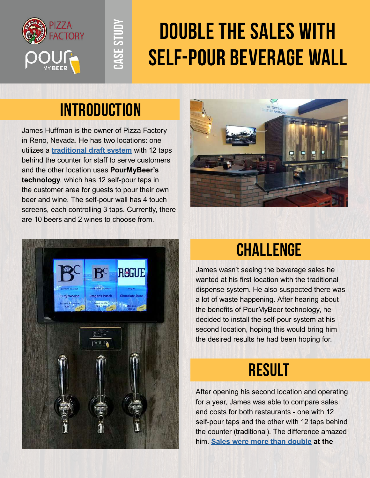

# **Double the Sales With Self-pour Beverage Wall**

#### **Introduction**

**Case Study**

CASE STUD

James Huffman is the owner of Pizza Factory in Reno, Nevada. He has two locations: one utilizes a **[traditional draft system](https://pourmybeer.com/self-pour-vs-staff-pour/)** with 12 taps behind the counter for staff to serve customers and the other location uses **PourMyBeer's technology**, which has 12 self-pour taps in the customer area for guests to pour their own beer and wine. The self-pour wall has 4 touch screens, each controlling 3 taps. Currently, there are 10 beers and 2 wines to choose from.





### **Challenge**

James wasn't seeing the beverage sales he wanted at his first location with the traditional dispense system. He also suspected there was a lot of waste happening. After hearing about the benefits of PourMyBeer technology, he decided to install the self-pour system at his second location, hoping this would bring him the desired results he had been hoping for.

## **result**

After opening his second location and operating for a year, James was able to compare sales and costs for both restaurants - one with 12 self-pour taps and the other with 12 taps behind the counter (traditional). The difference amazed him. **[Sales were more than double](https://pourmybeer.com/pizza-factory-beverage-sales-increased-thanks-to-pourmybeer/) at the**